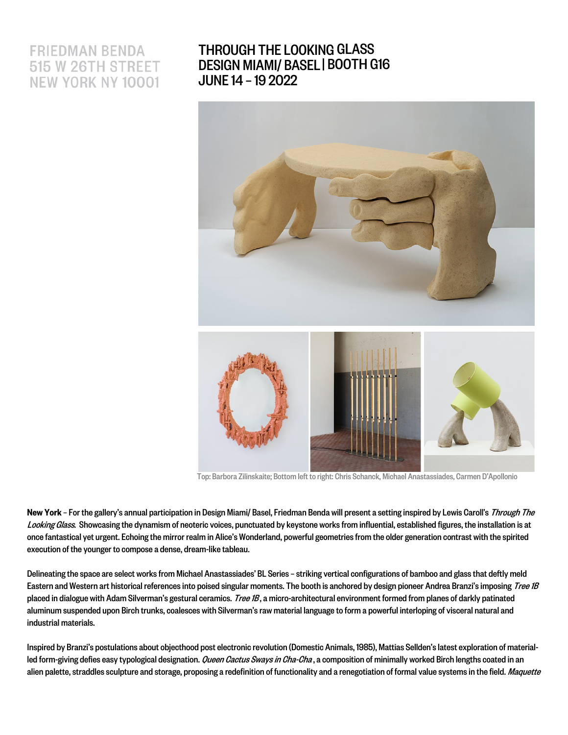# **FRIEDMAN BENDA 515 W 26TH STREET NEW YORK NY 10001**

## [THROUGH THE LOOKING](https://www.friedmanbenda.com/fairs/design-miami-basel-2022/) GLASS DESIGN MIAMI/ BASEL | BOOTH G16JUNE 14 –19 2022



 [Top: Barbora Zilinskaite; Bottom left to right: Chris Schanck, Michael Anastassiades, Carmen D'Apollonio](https://www.friedmanbenda.com/fairs/design-miami-basel-2022/)

New York - For the gallery's annual participation in Design Miami/ Basel, Friedman Benda will present a setting inspired by Lewis Caroll's Through The Looking Glass. Showcasing the dynamism of neoteric voices, punctuated by keystone works from influential, established figures, the installation is at once fantastical yet urgent. Echoing the mirror realm in Alice's Wonderland, powerful geometries from the older generation contrast with the spirited execution of the younger to compose a dense, dream-like tableau.

Delineating the space are select works from Michael Anastassiades' BL Series - striking vertical configurations of bamboo and glass that deftly meld Eastern and Western art historical references into poised singular moments. The booth is anchored by design pioneer Andrea Branzi's imposing Tree 1B placed in dialogue with Adam Silverman's gestural ceramics. Tree 1B, a micro-architectural environment formed from planes of darkly patinated aluminum suspended upon Birch trunks, coalesces with Silverman's raw material language to form a powerful interloping of visceral natural and industrial materials.

Inspired by Branzi's postulations about objecthood post electronic revolution (Domestic Animals, 1985), Mattias Sellden's latest exploration of materialled form-giving defies easy typological designation. *Queen Cactus Sways in Cha-Cha*, a composition of minimally worked Birch lengths coated in an alien palette, straddles sculpture and storage, proposing a redefinition of functionality and a renegotiation of formal value systems in the field. Maquette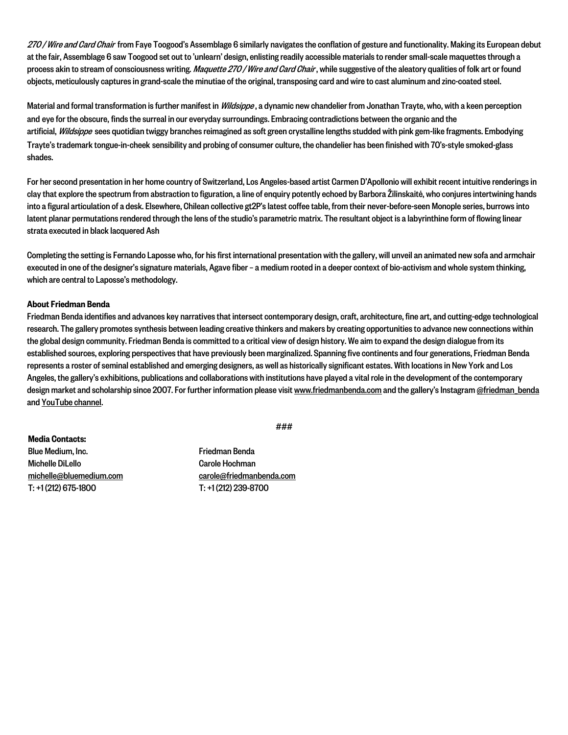270 / Wire and Card Chair from Faye Toogood's Assemblage 6 similarly navigates the conflation of gesture and functionality. Making its European debut at the fair, Assemblage 6 saw Toogood set out to 'unlearn' design, enlisting readily accessible materials to render small-scale maquettes through a process akin to stream of consciousness writing. Maquette 270 / Wire and Card Chair, while suggestive of the aleatory qualities of folk art or found objects, meticulously captures in grand-scale the minutiae of the original, transposing card and wire to cast aluminum and zinc-coated steel.

Material and formal transformation is further manifest in Wildsippe, a dynamic new chandelier from Jonathan Trayte, who, with a keen perception and eye for the obscure, finds the surreal in our everyday surroundings. Embracing contradictions between the organic and the artificial, Wildsippe sees quotidian twiggy branches reimagined as soft green crystalline lengths studded with pink gem-like fragments. Embodying Trayte's trademark tongue-in-cheek sensibility and probing of consumer culture, the chandelier has been finished with 70's-style smoked-glass shades.

For her second presentation in her home country of Switzerland, Los Angeles-based artist Carmen D'Apollonio will exhibit recent intuitive renderings in clay that explore the spectrum from abstraction to figuration, a line of enquiry potently echoed by Barbora Žilinskaitė, who conjures intertwining hands into a figural articulation of a desk. Elsewhere, Chilean collective gt2P's latest coffee table, from their never-before-seen Monople series, burrows into latent planar permutations rendered through the lens of the studio's parametric matrix. The resultant object is a labyrinthine form of flowing linear strata executed in black lacquered Ash

Completing the setting is Fernando Laposse who, for his first international presentation with the gallery, will unveil an animated new sofa and armchair executed in one of the designer's signature materials, Agave fiber –a medium rooted in a deeper context of bio-activism and whole system thinking, which are central to Laposse's methodology.

#### About Friedman Benda

Friedman Benda identifies and advances key narratives that intersect contemporary design, craft, architecture, fine art, and cutting-edge technological research. The gallery promotes synthesis between leading creative thinkers and makers by creating opportunities to advance new connections within the global design community. Friedman Benda is committed to a critical view of design history. We aim to expand the design dialogue from its established sources, exploring perspectives that have previously been marginalized. Spanning five continents and four generations, Friedman Benda represents a roster of seminal established and emerging designers, as well as historically significant estates. With locations in New York and Los Angeles, the gallery's exhibitions, publications and collaborations with institutions have played a vital role in the development of the contemporary design market and scholarship since 2007. For further information please visit www.friedmanbenda.com and the gallery's Instagram @friedman\_benda and [YouTube channel.](https://www.youtube.com/channel/UC63V22O8QgGzKYXD7e_INFg)

###

Media Contacts: Blue Medium, Inc. Michelle DiLello michelle@bluemedium.com T: +1 (212) 675-1800

Friedman Benda Carole Hochman carole@friedmanbenda.com T: +1 (212) 239-8700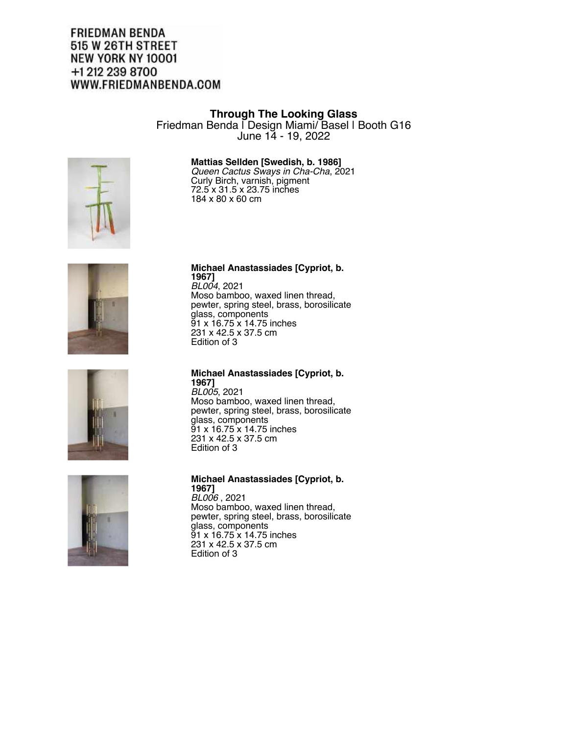## **FRIEDMAN BENDA** 515 W 26TH STREET NEW YORK NY 10001 +1 212 239 8700 WWW.FRIEDMANBENDA.COM

#### **Through The Looking Glass**

Friedman Benda | Design Miami/ Basel | Booth G16 June 14 - 19, 2022

#### **Mattias Sellden [Swedish, b. 1986]**

*Queen Cactus Sways in Cha-Cha*, 2021 Curly Birch, varnish, pigment 72.5 x 31.5 x 23.75 inches 184 x 80 x 60 cm









#### **Michael Anastassiades [Cypriot, b. 1967]**

*BL004*, 2021 Moso bamboo, waxed linen thread, pewter, spring steel, brass, borosilicate glass, components 91 x 16.75 x 14.75 inches 231 x 42.5 x 37.5 cm Edition of 3

#### **Michael Anastassiades [Cypriot, b. 1967]**

*BL005*, 2021 Moso bamboo, waxed linen thread, pewter, spring steel, brass, borosilicate glass, components 91 x 16.75 x 14.75 inches 231 x 42.5 x 37.5 cm Edition of 3

#### **Michael Anastassiades [Cypriot, b. 1967]**

*BL006* , 2021 Moso bamboo, waxed linen thread, pewter, spring steel, brass, borosilicate glass, components 91 x 16.75 x 14.75 inches 231 x 42.5 x 37.5 cm Edition of 3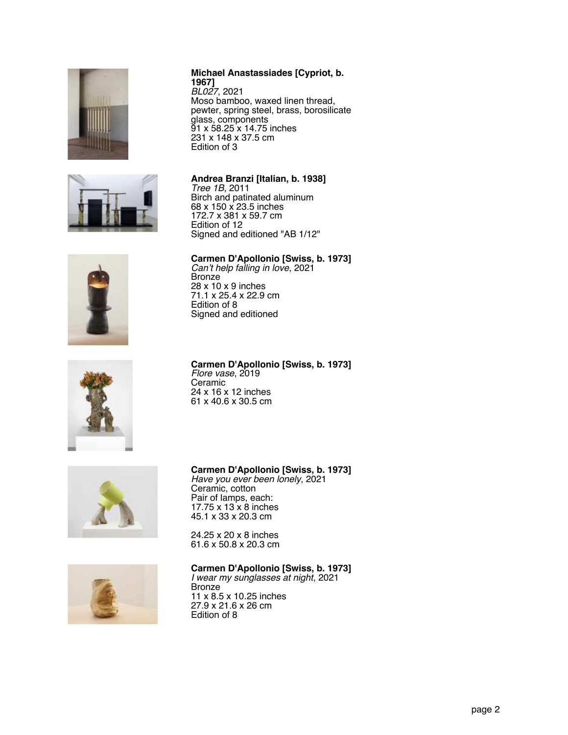





### **Carmen D'Apollonio [Swiss, b. 1973]** *Flore vase*, 2019

Ceramic 24 x 16 x 12 inches 61 x 40.6 x 30.5 cm



#### **Carmen D'Apollonio [Swiss, b. 1973]**

*Have you ever been lonely*, 2021 Ceramic, cotton Pair of lamps, each: 17.75 x 13 x 8 inches 45.1 x 33 x 20.3 cm

24.25 x 20 x 8 inches 61.6 x 50.8 x 20.3 cm

#### **Carmen D'Apollonio [Swiss, b. 1973]**

*I wear my sunglasses at night*, 2021 Bronze 11 x 8.5 x 10.25 inches 27.9 x 21.6 x 26 cm Edition of 8

#### **Michael Anastassiades [Cypriot, b. 1967]** *BL027*, 2021

Moso bamboo, waxed linen thread, pewter, spring steel, brass, borosilicate glass, components 91 x 58.25 x 14.75 inches 231 x 148 x 37.5 cm Edition of 3

#### **Andrea Branzi [Italian, b. 1938]**

*Tree 1B*, 2011 Birch and patinated aluminum 68 x 150 x 23.5 inches 172.7 x 381 x 59.7 cm Edition of 12 Signed and editioned "AB 1/12"

#### **Carmen D'Apollonio [Swiss, b. 1973]**

*Can't help falling in love*, 2021 Bronze 28 x 10 x 9 inches 71.1 x 25.4 x 22.9 cm Edition of 8 Signed and editioned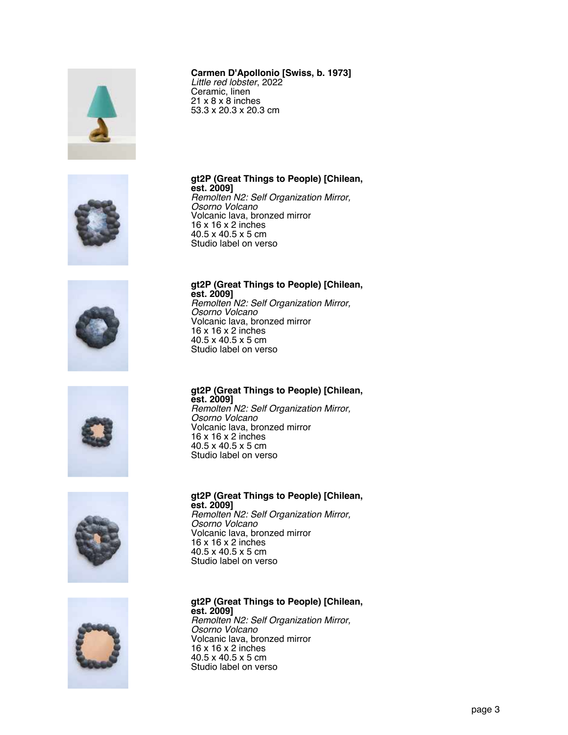













#### **Carmen D'Apollonio [Swiss, b. 1973]**

*Little red lobster*, 2022 Ceramic, linen 21 x 8 x 8 inches 53.3 x 20.3 x 20.3 cm

#### **gt2P (Great Things to People) [Chilean, est. 2009]**

*Remolten N2: Self Organization Mirror, Osorno Volcano* Volcanic lava, bronzed mirror 16 x 16 x 2 inches 40.5 x 40.5 x 5 cm Studio label on verso

#### **gt2P (Great Things to People) [Chilean, est. 2009]** *Remolten N2: Self Organization Mirror, Osorno Volcano*

Volcanic lava, bronzed mirror 16 x 16 x 2 inches 40.5 x 40.5 x 5 cm Studio label on verso

#### **gt2P (Great Things to People) [Chilean, est. 2009]** *Remolten N2: Self Organization Mirror, Osorno Volcano*

Volcanic lava, bronzed mirror 16 x 16 x 2 inches 40.5 x 40.5 x 5 cm Studio label on verso

#### **gt2P (Great Things to People) [Chilean, est. 2009]** *Remolten N2: Self Organization Mirror, Osorno Volcano* Volcanic lava, bronzed mirror 16 x 16 x 2 inches 40.5 x 40.5 x 5 cm Studio label on verso

**gt2P (Great Things to People) [Chilean, est. 2009]** *Remolten N2: Self Organization Mirror, Osorno Volcano* Volcanic lava, bronzed mirror 16 x 16 x 2 inches 40.5 x 40.5 x 5 cm Studio label on verso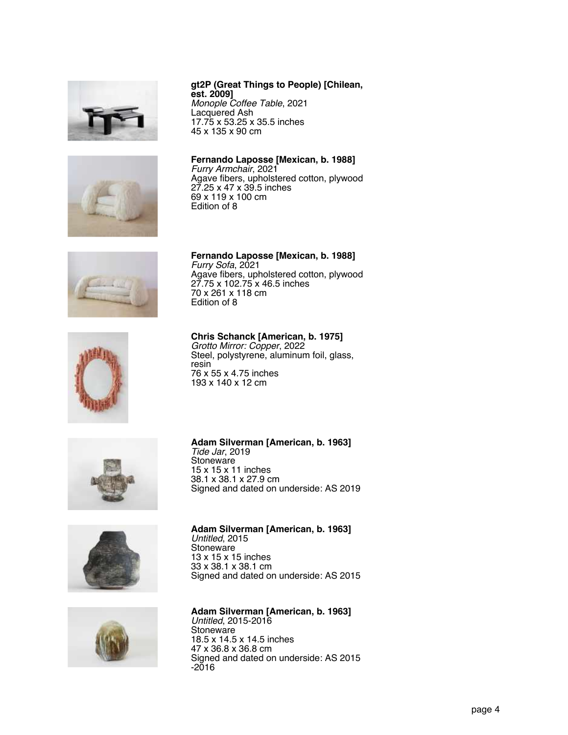







*Monople Coffee Table*, 2021 Lacquered Ash 17.75 x 53.25 x 35.5 inches 45 x 135 x 90 cm

**Fernando Laposse [Mexican, b. 1988]** Furry *Armchair*, 2021 Agave fibers, upholstered cotton, plywood 27.25 x 47 x 39.5 inches 69 x 119 x 100 cm Edition of 8

**Fernando Laposse [Mexican, b. 1988]** Furry *Sofa*, 2021 Agave fibers, upholstered cotton, plywood 27.75 x 102.75 x 46.5 inches 70 x 261 x 118 cm Edition of 8



**Chris Schanck [American, b. 1975]** *Grotto Mirror: Copper*, 2022 Steel, polystyrene, aluminum foil, glass, resin 76 x 55 x 4.75 inches 193 x 140 x 12 cm

**Adam Silverman [American, b. 1963]**

*Tide Jar*, 2019 **Stoneware** 

15 x 15 x 11 inches 38.1 x 38.1 x 27.9 cm







### **Adam Silverman [American, b. 1963]** *Untitled*, 2015

Signed and dated on underside: AS 2019

Stoneware 13 x 15 x 15 inches 33 x 38.1 x 38.1 cm Signed and dated on underside: AS 2015

**Adam Silverman [American, b. 1963]** *Untitled*, 2015-2016 **Stoneware** 18.5 x 14.5 x 14.5 inches 47 x 36.8 x 36.8 cm Signed and dated on underside: AS 2015 -2016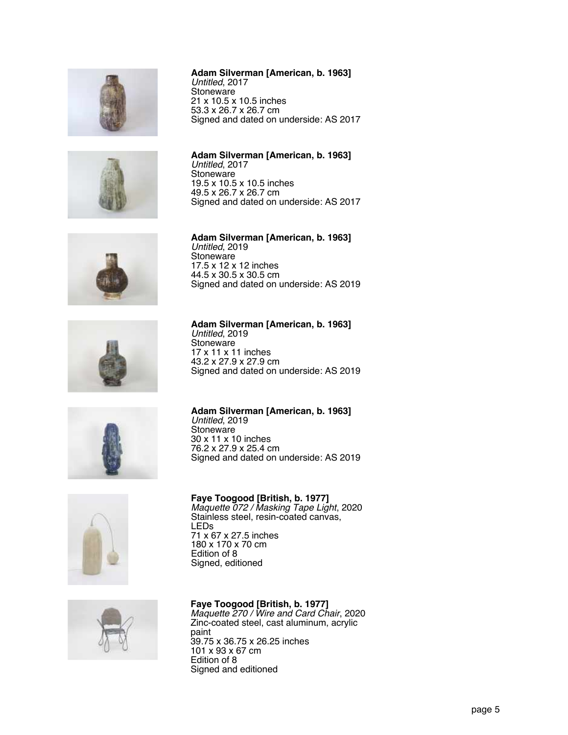













#### **Adam Silverman [American, b. 1963]** *Untitled*, 2017 **Stoneware** 21 x 10.5 x 10.5 inches 53.3 x 26.7 x 26.7 cm

Signed and dated on underside: AS 2017

**Adam Silverman [American, b. 1963]** *Untitled*, 2017 **Stoneware** 19.5 x 10.5 x 10.5 inches 49.5 x 26.7 x 26.7 cm Signed and dated on underside: AS 2017

**Adam Silverman [American, b. 1963]** *Untitled*, 2019 **Stoneware** 17.5 x 12 x 12 inches 44.5 x 30.5 x 30.5 cm Signed and dated on underside: AS 2019

**Adam Silverman [American, b. 1963]** *Untitled*, 2019 **Stoneware** 17 x 11 x 11 inches 43.2 x 27.9 x 27.9 cm Signed and dated on underside: AS 2019

**Adam Silverman [American, b. 1963]** *Untitled*, 2019 Stoneware 30 x 11 x 10 inches 76.2 x 27.9 x 25.4 cm Signed and dated on underside: AS 2019

**Faye Toogood [British, b. 1977]** *Maquette 072 / Masking Tape Light*, 2020 Stainless steel, resin-coated canvas, LEDs 71 x 67 x 27.5 inches 180 x 170 x 70 cm Edition of 8 Signed, editioned

**Faye Toogood [British, b. 1977]** *Maquette 270 / Wire and Card Chair*, 2020 Zinc-coated steel, cast aluminum, acrylic paint 39.75 x 36.75 x 26.25 inches 101 x 93 x 67 cm Edition of 8 Signed and editioned